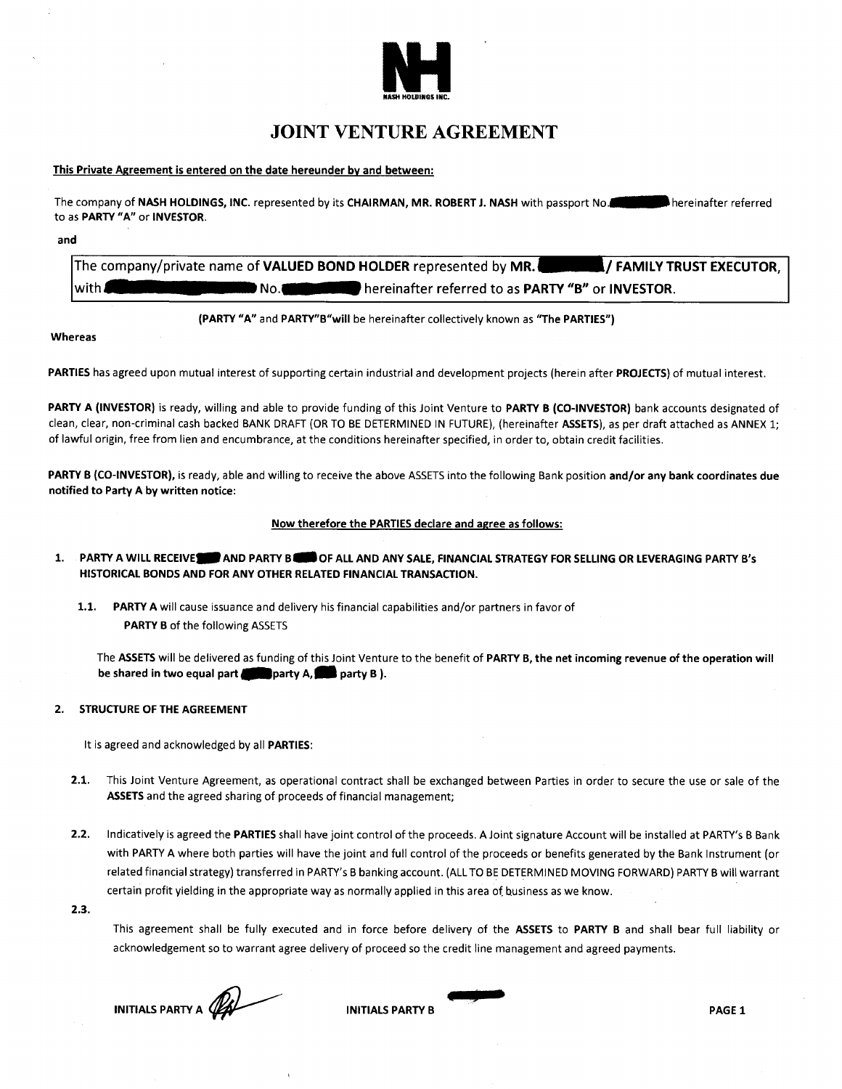

# **JOINT VENTURE AGREEMENT**

## **This Private Agreement is entered on the date hereunder by and between:**

The company of NASH HOLDINGS, INC. represented by its CHAIRMAN, MR. ROBERT J. NASH with passport No. to as **PARTY "A" or INVESTOR.**

**and**

The company/private name of **VALUED BOND HOLDER** represented by MR.<br>with **2006 The COMING DESCUTOR,** hereinafter referred to as **PARTY "B" or INVESTOR**.

**(PARTY "A" and PARTY"B"will** be hereinafter collectively known as **"The PARTIES")**

**Whereas**

**PARTIES** has agreed upon mutual interest of supporting certain industrial and development projects (herein after **PROJECTS)** of mutual interest.

**PARTY A (INVESTOR)** is ready, willing and able to provide funding of this Joint Venture to **PARTY B (CO-INVESTOR)** bank accounts designated of clean, clear, non-criminal cash backed BANK DRAFT (OR TO BE DETERMINED IN FUTURE), (hereinafter **ASSETS),** as per draft attached as ANNEX 1; of lawful origin, free from lien and encumbrance, at the conditions hereinafter specified, in order to, obtain credit facilities.

**PARTY B (CO-INVESTOR),** is ready, able and willing to receive the above ASSETS into the following Bank position **and/or any bank coordinates due notified to Party A by written notice:**

## **Now therefore the PARTIES declare and agree as follows:**

- 1. PARTY A WILL RECEIVE **THE AND PARTY BELL AND ANY SALE, FINANCIAL STRATEGY FOR SELLING OR LEVERAGING PARTY B's HISTORICAL BONDS AND FOR ANY OTHER RELATED FINANCIAL TRANSACTION.**
	- **1.1. PARTY A** will cause issuance and delivery his financial capabilities and/or partners in favor of **PARTY B** of the following ASSETS

The ASSETS will be delivered as funding of this Joint Venture to the benefit of **PARTY B, the net incoming revenue of the operation will be shared in two equal part sparty A, supporty B ).** 

## **2. STRUCTURE OF THE AGREEMENT**

It is agreed and acknowledged by all **PARTIES:**

- **2.1.** This Joint Venture Agreement, as operational contract shall be exchanged between Parties in order to secure the use or sale of the **ASSETS** and the agreed sharing of proceeds of financial management;
- **2.2.** Indicatively is agreed the PARTIES shall have joint control of the proceeds. A Joint signature Account will be installed at PARTY'S B Bank with PARTY A where both parties will have the joint and full control of the proceeds or benefits generated by the Bank Instrument (or related financial strategy) transferred in PARTY'S B banking account. (ALLTO BE DETERMINED MOVING FORWARD) PARTY B will warrant certain profit yielding in the appropriate way as normally applied in this area of business as we know.
- **2.3.**

This agreement shall be fully executed and in force before delivery of the **ASSETS** to **PARTY B** and shall bear full liability or acknowledgement so to warrant agree delivery of proceed so the credit line management and agreed payments.

**INITIALS PARTY A**<br>**INITIALS PARTY B** PAGE 1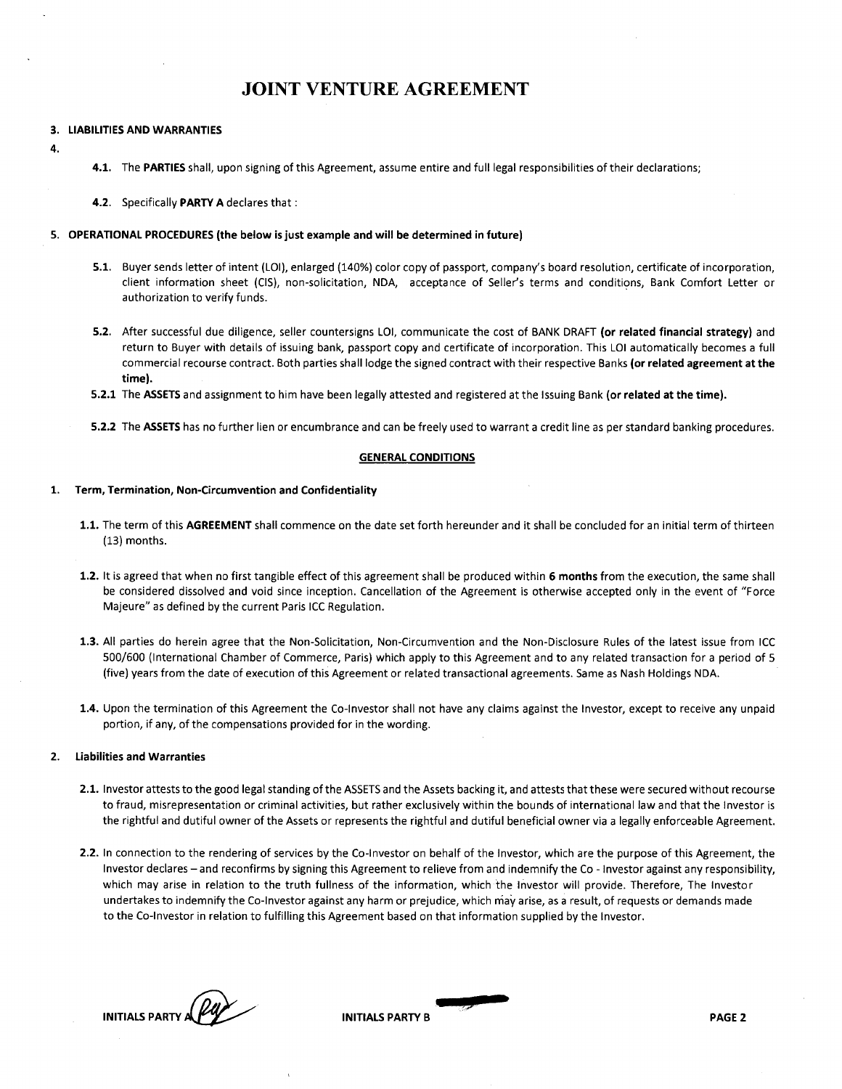# **JOINT VENTURE AGREEMENT**

## **3. LIABILITIES AND WARRANTIES**

**4.**

**4.1.** The PARTIES shall, upon signing of this Agreement, assume entire and full legal responsibilities of their declarations;

**4.2.** Specifically **PARTY A** declares that:

## **5. OPERATIONAL PROCEDURES (the below is just example and will be determined in future)**

- **5.1.** Buyer sends letter of intent (LOI), enlarged (140%) color copy of passport, company's board resolution, certificate of incorporation, client information sheet (CIS), non-solicitation, NDA, acceptance of Seller's terms and conditions, Bank Comfort Letter or authorization to verify funds.
- **5.2.** After successful due diligence, seller countersigns LOI, communicate the cost of BANK DRAFT **(or related financial strategy)** and return to Buyer with details of issuing bank, passport copy and certificate of incorporation. This LOI automatically becomes a full commercial recourse contract. Both parties shall lodge the signed contract with their respective Banks **(or related agreement at the time).**
- **5.2.1** The **ASSETS** and assignment to him have been legally attested and registered at the Issuing Bank **(or related at the time).**

**5.2.2** The **ASSETS** has no further lien or encumbrance and can be freely used to warrant a credit line as per standard banking procedures.

### **GENERAL CONDITIONS**

### **1. Term, Termination, Non-Circumvention and Confidentiality**

- **1.1.** The term of this **AGREEMENT** shall commence on the date set forth hereunder and it shall be concluded for an initial term of thirteen (13) months.
- **1.2.** It is agreed that when no first tangible effect of this agreement shall be produced within **6 months** from the execution, the same shall be considered dissolved and void since inception. Cancellation of the Agreement is otherwise accepted only in the event of "Force Majeure" as defined by the current Paris ICC Regulation.
- **1.3.** All parties do herein agree that the Non-Solicitation, Non-Circumvention and the Non-Disclosure Rules of the latest issue from ICC 500/600 (International Chamber of Commerce, Paris) which apply to this Agreement and to any related transaction for a period of 5 (five) years from the date of execution of this Agreement or related transactional agreements. Same as Nash Holdings NDA.
- **1.4.** Upon the termination of this Agreement the Co-Investor shall not have any claims against the Investor, except to receive any unpaid portion, if any, of the compensations provided for in the wording.

## **2. Liabilities and Warranties**

- **2.1.** Investor attests to the good legal standing of the ASSETS and the Assets backing it, and attests that these were secured without recourse to fraud, misrepresentation or criminal activities, but rather exclusively within the bounds of international law and that the Investor is the rightful and dutiful owner of the Assets or represents the rightful and dutiful beneficial owner via a legally enforceable Agreement.
- **2.2.** In connection to the rendering of services by the Co-Investor on behalf of the Investor, which are the purpose of this Agreement, the Investor declares - and reconfirms by signing this Agreement to relieve from and indemnify the Co - Investor against any responsibility, which may arise in relation to the truth fullness of the information, which the Investor will provide. Therefore, The Investor undertakes to indemnify the Co-Investor against any harm or prejudice, which may arise, as a result, of requests or demands made to the Co-Investor in relation to fulfilling this Agreement based on that information supplied by the Investor.

**INITIALS PARTY A PAGE 2**